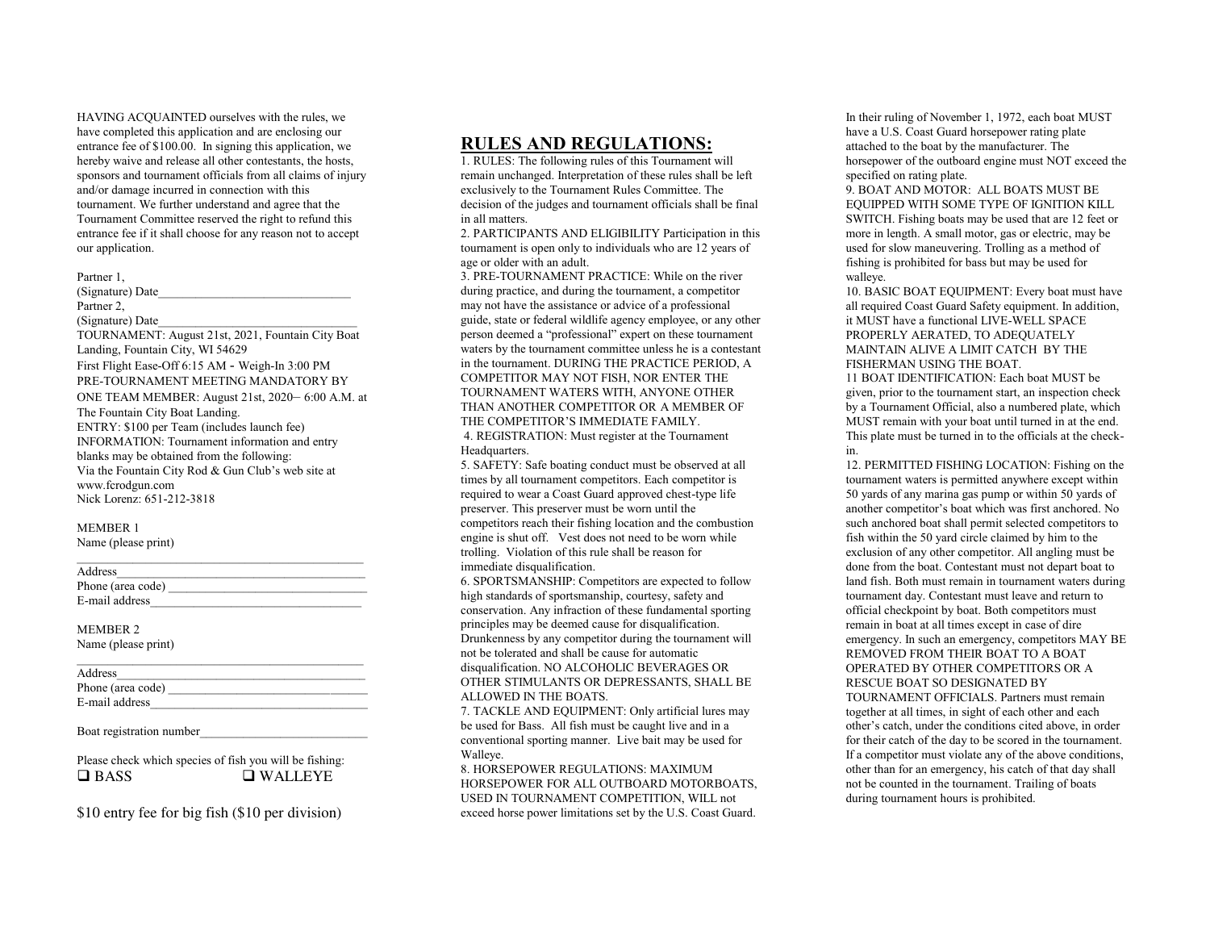HAVING ACQUAINTED ourselves with the rules, we have completed this application and are enclosing our entrance fee of \$100.00. In signing this application, we hereby waive and release all other contestants, the hosts, sponsors and tournament officials from all claims of injury and/or damage incurred in connection with this tournament. We further understand and agree that the Tournament Committee reserved the right to refund this entrance fee if it shall choose for any reason not to accept our application.

#### Partner 1,

(Signature) Date Partner 2. (Signature) Date TOURNAMENT: August 21st, 2021, Fountain City Boat Landing, Fountain City, WI 54629 First Flight Ease-Off 6:15 AM - Weigh-In 3:00 PM PRE-TOURNAMENT MEETING MANDATORY BY ONE TEAM MEMBER: August 21st, 2020– 6:00 A.M. at The Fountain City Boat Landing. ENTRY: \$100 per Team (includes launch fee) INFORMATION: Tournament information and entry blanks may be obtained from the following: Via the Fountain City Rod & Gun Club's web site at www.fcrodgun.com Nick Lorenz: 651-212-3818

### MEMBER 1

Name (please print)

| Address           |  |
|-------------------|--|
| Phone (area code) |  |
| E-mail address    |  |

\_\_\_\_\_\_\_\_\_\_\_\_\_\_\_\_\_\_\_\_\_\_\_\_\_\_\_\_\_\_\_\_\_\_\_\_\_\_\_\_\_\_\_\_\_\_

#### MEMBER 2

Name (please print)

Address\_\_\_\_\_\_\_\_\_\_\_\_\_\_\_\_\_\_\_\_\_\_\_\_\_\_\_\_\_\_\_\_\_\_\_\_\_\_\_\_

| Phone (area code) |  |
|-------------------|--|
| E-mail address    |  |

### Boat registration number

Please check which species of fish you will be fishing:  $\Box$  BASS  $\Box$  WALLEYE

\$10 entry fee for big fish (\$10 per division)

### RULES AND REGULATIONS:

1. RULES: The following rules of this Tournament will remain unchanged. Interpretation of these rules shall be left exclusively to the Tournament Rules Committee. The decision of the judges and tournament officials shall be final in all matters.

2. PARTICIPANTS AND ELIGIBILITY Participation in this tournament is open only to individuals who are 12 years of age or older with an adult.

3. PRE-TOURNAMENT PRACTICE: While on the river during practice, and during the tournament, a competitor may not have the assistance or advice of a professional guide, state or federal wildlife agency employee, or any other person deemed a "professional" expert on these tournament waters by the tournament committee unless he is a contestant in the tournament. DURING THE PRACTICE PERIOD, A COMPETITOR MAY NOT FISH, NOR ENTER THE TOURNAMENT WATERS WITH, ANYONE OTHER THAN ANOTHER COMPETITOR OR A MEMBER OF THE COMPETITOR'S IMMEDIATE FAMILY. 4. REGISTRATION: Must register at the Tournament Headquarters.

5. SAFETY: Safe boating conduct must be observed at all times by all tournament competitors. Each competitor is required to wear a Coast Guard approved chest-type life preserver. This preserver must be worn until the competitors reach their fishing location and the combustion engine is shut off. Vest does not need to be worn while trolling. Violation of this rule shall be reason for immediate disqualification.

6. SPORTSMANSHIP: Competitors are expected to follow high standards of sportsmanship, courtesy, safety and conservation. Any infraction of these fundamental sporting principles may be deemed cause for disqualification. Drunkenness by any competitor during the tournament will not be tolerated and shall be cause for automatic disqualification. NO ALCOHOLIC BEVERAGES OR OTHER STIMULANTS OR DEPRESSANTS, SHALL BE ALLOWED IN THE BOATS.

7. TACKLE AND EQUIPMENT: Only artificial lures may be used for Bass. All fish must be caught live and in a conventional sporting manner. Live bait may be used for Walleye.

8. HORSEPOWER REGULATIONS: MAXIMUM HORSEPOWER FOR ALL OUTBOARD MOTORBOATS USED IN TOURNAMENT COMPETITION, WILL not exceed horse power limitations set by the U.S. Coast Guard.

In their ruling of November 1, 1972, each boat MUST have a U.S. Coast Guard horsepower rating plate attached to the boat by the manufacturer. The horsepower of the outboard engine must NOT exceed the specified on rating plate.

9. BOAT AND MOTOR: ALL BOATS MUST BE EQUIPPED WITH SOME TYPE OF IGNITION KILL SWITCH. Fishing boats may be used that are 12 feet or more in length. A small motor, gas or electric, may be used for slow maneuvering. Trolling as a method of fishing is prohibited for bass but may be used for walleye.

10. BASIC BOAT EQUIPMENT: Every boat must have all required Coast Guard Safety equipment. In addition, it MUST have a functional LIVE-WELL SPACE PROPERLY AERATED, TO ADEQUATELY MAINTAIN ALIVE A LIMIT CATCH BY THE FISHERMAN USING THE BOAT.

11 BOAT IDENTIFICATION: Each boat MUST be given, prior to the tournament start, an inspection check by a Tournament Official, also a numbered plate, which MUST remain with your boat until turned in at the end. This plate must be turned in to the officials at the checkin.

12. PERMITTED FISHING LOCATION: Fishing on the tournament waters is permitted anywhere except within 50 yards of any marina gas pump or within 50 yards of another competitor's boat which was first anchored. No such anchored boat shall permit selected competitors to fish within the 50 yard circle claimed by him to the exclusion of any other competitor. All angling must be done from the boat. Contestant must not depart boat to land fish. Both must remain in tournament waters during tournament day. Contestant must leave and return to official checkpoint by boat. Both competitors must remain in boat at all times except in case of dire emergency. In such an emergency, competitors MAY BE REMOVED FROM THEIR BOAT TO A BOAT OPERATED BY OTHER COMPETITORS OR A RESCUE BOAT SO DESIGNATED BY TOURNAMENT OFFICIALS. Partners must remain together at all times, in sight of each other and each other's catch, under the conditions cited above, in order for their catch of the day to be scored in the tournament. If a competitor must violate any of the above conditions, other than for an emergency, his catch of that day shall not be counted in the tournament. Trailing of boats during tournament hours is prohibited.